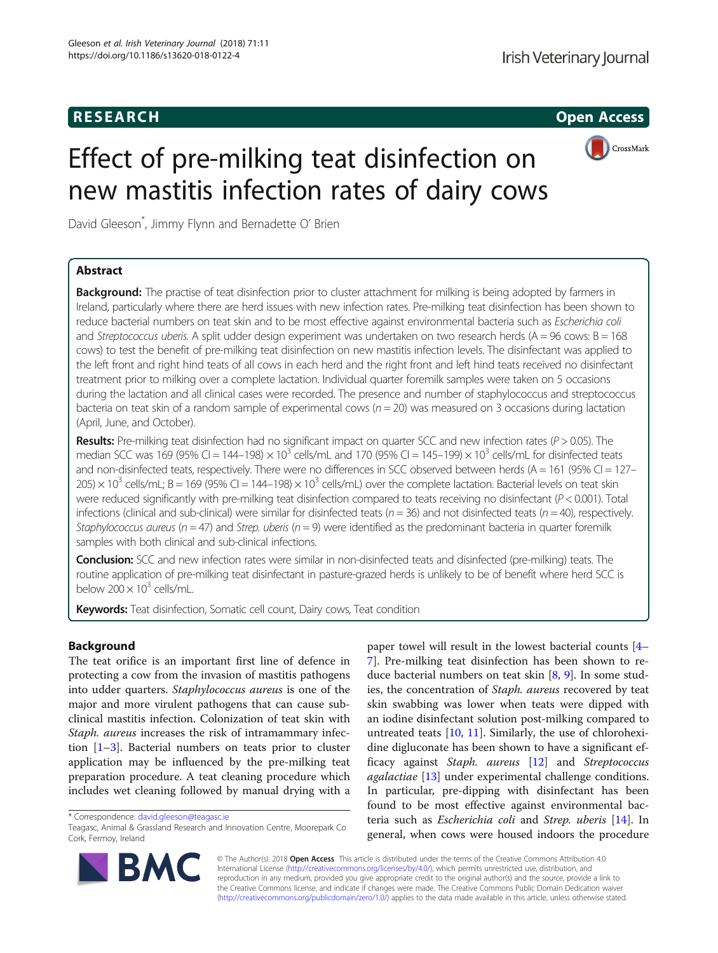## **RESEARCH CHILD CONTROL** CONTROL CONTROL CONTROL CONTROL CONTROL CONTROL CONTROL CONTROL CONTROL CONTROL CONTROL CONTROL CONTROL CONTROL CONTROL CONTROL CONTROL CONTROL CONTROL CONTROL CONTROL CONTROL CONTROL CONTROL CONTR



# Effect of pre-milking teat disinfection on new mastitis infection rates of dairy cows

David Gleeson\* , Jimmy Flynn and Bernadette O' Brien

## Abstract

**Background:** The practise of teat disinfection prior to cluster attachment for milking is being adopted by farmers in Ireland, particularly where there are herd issues with new infection rates. Pre-milking teat disinfection has been shown to reduce bacterial numbers on teat skin and to be most effective against environmental bacteria such as Escherichia coli and Streptococcus uberis. A split udder design experiment was undertaken on two research herds ( $A = 96$  cows:  $B = 168$ ) cows) to test the benefit of pre-milking teat disinfection on new mastitis infection levels. The disinfectant was applied to the left front and right hind teats of all cows in each herd and the right front and left hind teats received no disinfectant treatment prior to milking over a complete lactation. Individual quarter foremilk samples were taken on 5 occasions during the lactation and all clinical cases were recorded. The presence and number of staphylococcus and streptococcus bacteria on teat skin of a random sample of experimental cows ( $n = 20$ ) was measured on 3 occasions during lactation (April, June, and October).

Results: Pre-milking teat disinfection had no significant impact on quarter SCC and new infection rates ( $P > 0.05$ ). The median SCC was 169 (95% CI = 144–198)  $\times$  10<sup>3</sup> cells/mL and 170 (95% CI = 145–199)  $\times$  10<sup>3</sup> cells/mL for disinfected teats and non-disinfected teats, respectively. There were no differences in SCC observed between herds (A = 161 (95% CI = 127– 205)  $\times$  10<sup>3</sup> cells/mL; B = 169 (95% CI = 144–198)  $\times$  10<sup>3</sup> cells/mL) over the complete lactation. Bacterial levels on teat skin were reduced significantly with pre-milking teat disinfection compared to teats receiving no disinfectant ( $P < 0.001$ ). Total infections (clinical and sub-clinical) were similar for disinfected teats ( $n = 36$ ) and not disinfected teats ( $n = 40$ ), respectively. Staphylococcus aureus ( $n = 47$ ) and Strep. uberis ( $n = 9$ ) were identified as the predominant bacteria in quarter foremilk samples with both clinical and sub-clinical infections.

Conclusion: SCC and new infection rates were similar in non-disinfected teats and disinfected (pre-milking) teats. The routine application of pre-milking teat disinfectant in pasture-grazed herds is unlikely to be of benefit where herd SCC is below  $200 \times 10^3$  cells/mL.

Keywords: Teat disinfection, Somatic cell count, Dairy cows, Teat condition

## Background

The teat orifice is an important first line of defence in protecting a cow from the invasion of mastitis pathogens into udder quarters. Staphylococcus aureus is one of the major and more virulent pathogens that can cause subclinical mastitis infection. Colonization of teat skin with Staph. aureus increases the risk of intramammary infection [[1](#page-6-0)–[3](#page-6-0)]. Bacterial numbers on teats prior to cluster application may be influenced by the pre-milking teat preparation procedure. A teat cleaning procedure which includes wet cleaning followed by manual drying with a

paper towel will result in the lowest bacterial counts [[4](#page-6-0)– [7\]](#page-6-0). Pre-milking teat disinfection has been shown to reduce bacterial numbers on teat skin [\[8](#page-6-0), [9](#page-6-0)]. In some studies, the concentration of Staph. aureus recovered by teat skin swabbing was lower when teats were dipped with an iodine disinfectant solution post-milking compared to untreated teats [[10](#page-6-0), [11\]](#page-6-0). Similarly, the use of chlorohexidine digluconate has been shown to have a significant ef-ficacy against Staph. aureus [[12\]](#page-6-0) and Streptococcus agalactiae [[13\]](#page-6-0) under experimental challenge conditions. In particular, pre-dipping with disinfectant has been found to be most effective against environmental bacteria such as Escherichia coli and Strep. uberis [\[14](#page-6-0)]. In general, when cows were housed indoors the procedure



© The Author(s). 2018 Open Access This article is distributed under the terms of the Creative Commons Attribution 4.0 International License [\(http://creativecommons.org/licenses/by/4.0/](http://creativecommons.org/licenses/by/4.0/)), which permits unrestricted use, distribution, and reproduction in any medium, provided you give appropriate credit to the original author(s) and the source, provide a link to the Creative Commons license, and indicate if changes were made. The Creative Commons Public Domain Dedication waiver [\(http://creativecommons.org/publicdomain/zero/1.0/](http://creativecommons.org/publicdomain/zero/1.0/)) applies to the data made available in this article, unless otherwise stated.

<sup>\*</sup> Correspondence: [david.gleeson@teagasc.ie](mailto:david.gleeson@teagasc.ie)

Teagasc, Animal & Grassland Research and Innovation Centre, Moorepark Co Cork, Fermoy, Ireland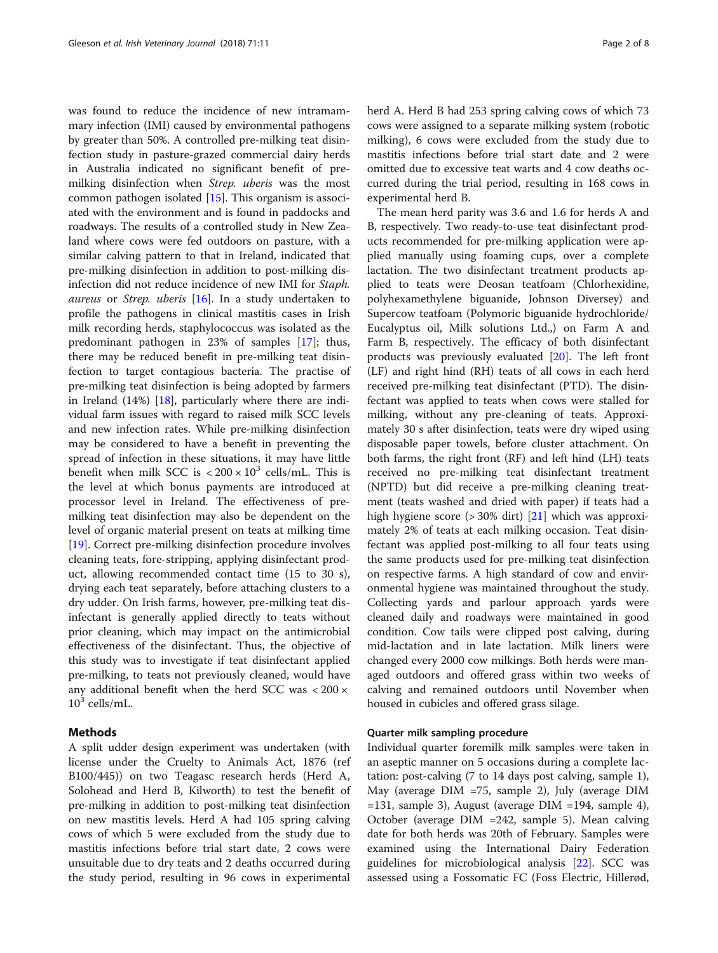was found to reduce the incidence of new intramammary infection (IMI) caused by environmental pathogens by greater than 50%. A controlled pre-milking teat disinfection study in pasture-grazed commercial dairy herds in Australia indicated no significant benefit of premilking disinfection when Strep. uberis was the most common pathogen isolated [[15\]](#page-6-0). This organism is associated with the environment and is found in paddocks and roadways. The results of a controlled study in New Zealand where cows were fed outdoors on pasture, with a similar calving pattern to that in Ireland, indicated that pre-milking disinfection in addition to post-milking disinfection did not reduce incidence of new IMI for Staph. aureus or Strep. uberis [\[16](#page-6-0)]. In a study undertaken to profile the pathogens in clinical mastitis cases in Irish milk recording herds, staphylococcus was isolated as the predominant pathogen in 23% of samples [[17\]](#page-6-0); thus, there may be reduced benefit in pre-milking teat disinfection to target contagious bacteria. The practise of pre-milking teat disinfection is being adopted by farmers in Ireland (14%) [[18\]](#page-7-0), particularly where there are individual farm issues with regard to raised milk SCC levels and new infection rates. While pre-milking disinfection may be considered to have a benefit in preventing the spread of infection in these situations, it may have little benefit when milk SCC is  $\langle 200 \times 10^3 \text{ cells/mL}$ . This is the level at which bonus payments are introduced at processor level in Ireland. The effectiveness of premilking teat disinfection may also be dependent on the level of organic material present on teats at milking time [[19\]](#page-7-0). Correct pre-milking disinfection procedure involves cleaning teats, fore-stripping, applying disinfectant product, allowing recommended contact time (15 to 30 s), drying each teat separately, before attaching clusters to a dry udder. On Irish farms, however, pre-milking teat disinfectant is generally applied directly to teats without prior cleaning, which may impact on the antimicrobial effectiveness of the disinfectant. Thus, the objective of this study was to investigate if teat disinfectant applied pre-milking, to teats not previously cleaned, would have any additional benefit when the herd SCC was < 200 ×  $10^3$  cells/mL.

#### Methods

A split udder design experiment was undertaken (with license under the Cruelty to Animals Act, 1876 (ref B100/445)) on two Teagasc research herds (Herd A, Solohead and Herd B, Kilworth) to test the benefit of pre-milking in addition to post-milking teat disinfection on new mastitis levels. Herd A had 105 spring calving cows of which 5 were excluded from the study due to mastitis infections before trial start date, 2 cows were unsuitable due to dry teats and 2 deaths occurred during the study period, resulting in 96 cows in experimental

herd A. Herd B had 253 spring calving cows of which 73 cows were assigned to a separate milking system (robotic milking), 6 cows were excluded from the study due to mastitis infections before trial start date and 2 were omitted due to excessive teat warts and 4 cow deaths occurred during the trial period, resulting in 168 cows in experimental herd B.

The mean herd parity was 3.6 and 1.6 for herds A and B, respectively. Two ready-to-use teat disinfectant products recommended for pre-milking application were applied manually using foaming cups, over a complete lactation. The two disinfectant treatment products applied to teats were Deosan teatfoam (Chlorhexidine, polyhexamethylene biguanide, Johnson Diversey) and Supercow teatfoam (Polymoric biguanide hydrochloride/ Eucalyptus oil, Milk solutions Ltd.,) on Farm A and Farm B, respectively. The efficacy of both disinfectant products was previously evaluated [\[20\]](#page-7-0). The left front (LF) and right hind (RH) teats of all cows in each herd received pre-milking teat disinfectant (PTD). The disinfectant was applied to teats when cows were stalled for milking, without any pre-cleaning of teats. Approximately 30 s after disinfection, teats were dry wiped using disposable paper towels, before cluster attachment. On both farms, the right front (RF) and left hind (LH) teats received no pre-milking teat disinfectant treatment (NPTD) but did receive a pre-milking cleaning treatment (teats washed and dried with paper) if teats had a high hygiene score (> 30% dirt) [[21\]](#page-7-0) which was approximately 2% of teats at each milking occasion. Teat disinfectant was applied post-milking to all four teats using the same products used for pre-milking teat disinfection on respective farms. A high standard of cow and environmental hygiene was maintained throughout the study. Collecting yards and parlour approach yards were cleaned daily and roadways were maintained in good condition. Cow tails were clipped post calving, during mid-lactation and in late lactation. Milk liners were changed every 2000 cow milkings. Both herds were managed outdoors and offered grass within two weeks of calving and remained outdoors until November when housed in cubicles and offered grass silage.

#### Quarter milk sampling procedure

Individual quarter foremilk milk samples were taken in an aseptic manner on 5 occasions during a complete lactation: post-calving (7 to 14 days post calving, sample 1), May (average DIM =75, sample 2), July (average DIM =131, sample 3), August (average DIM =194, sample 4), October (average DIM =242, sample 5). Mean calving date for both herds was 20th of February. Samples were examined using the International Dairy Federation guidelines for microbiological analysis [\[22](#page-7-0)]. SCC was assessed using a Fossomatic FC (Foss Electric, Hillerød,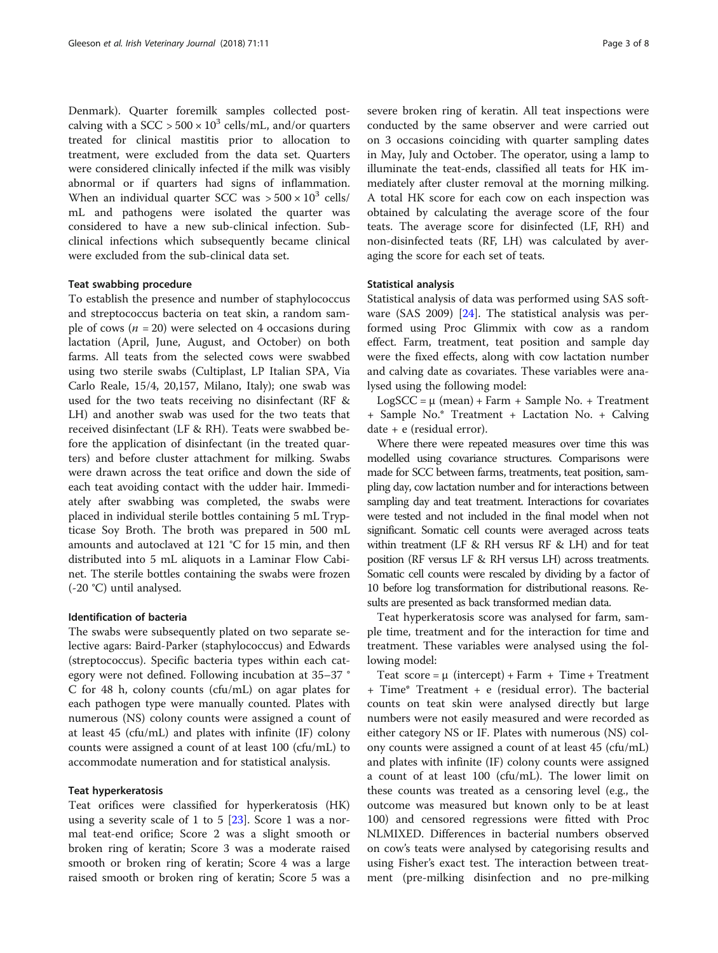Denmark). Quarter foremilk samples collected postcalving with a SCC >  $500 \times 10^3$  cells/mL, and/or quarters treated for clinical mastitis prior to allocation to treatment, were excluded from the data set. Quarters were considered clinically infected if the milk was visibly abnormal or if quarters had signs of inflammation. When an individual quarter SCC was  $> 500 \times 10^3$  cells/ mL and pathogens were isolated the quarter was considered to have a new sub-clinical infection. Subclinical infections which subsequently became clinical were excluded from the sub-clinical data set.

#### Teat swabbing procedure

To establish the presence and number of staphylococcus and streptococcus bacteria on teat skin, a random sample of cows ( $n = 20$ ) were selected on 4 occasions during lactation (April, June, August, and October) on both farms. All teats from the selected cows were swabbed using two sterile swabs (Cultiplast, LP Italian SPA, Via Carlo Reale, 15/4, 20,157, Milano, Italy); one swab was used for the two teats receiving no disinfectant (RF & LH) and another swab was used for the two teats that received disinfectant (LF & RH). Teats were swabbed before the application of disinfectant (in the treated quarters) and before cluster attachment for milking. Swabs were drawn across the teat orifice and down the side of each teat avoiding contact with the udder hair. Immediately after swabbing was completed, the swabs were placed in individual sterile bottles containing 5 mL Trypticase Soy Broth. The broth was prepared in 500 mL amounts and autoclaved at 121 °C for 15 min, and then distributed into 5 mL aliquots in a Laminar Flow Cabinet. The sterile bottles containing the swabs were frozen (-20 °C) until analysed.

#### Identification of bacteria

The swabs were subsequently plated on two separate selective agars: Baird-Parker (staphylococcus) and Edwards (streptococcus). Specific bacteria types within each category were not defined. Following incubation at 35–37 ° C for 48 h, colony counts (cfu/mL) on agar plates for each pathogen type were manually counted. Plates with numerous (NS) colony counts were assigned a count of at least 45 (cfu/mL) and plates with infinite (IF) colony counts were assigned a count of at least 100 (cfu/mL) to accommodate numeration and for statistical analysis.

#### Teat hyperkeratosis

Teat orifices were classified for hyperkeratosis (HK) using a severity scale of 1 to 5  $[23]$  $[23]$ . Score 1 was a normal teat-end orifice; Score 2 was a slight smooth or broken ring of keratin; Score 3 was a moderate raised smooth or broken ring of keratin; Score 4 was a large raised smooth or broken ring of keratin; Score 5 was a severe broken ring of keratin. All teat inspections were conducted by the same observer and were carried out on 3 occasions coinciding with quarter sampling dates in May, July and October. The operator, using a lamp to illuminate the teat-ends, classified all teats for HK immediately after cluster removal at the morning milking. A total HK score for each cow on each inspection was obtained by calculating the average score of the four teats. The average score for disinfected (LF, RH) and non-disinfected teats (RF, LH) was calculated by averaging the score for each set of teats.

#### Statistical analysis

Statistical analysis of data was performed using SAS software (SAS 2009) [[24\]](#page-7-0). The statistical analysis was performed using Proc Glimmix with cow as a random effect. Farm, treatment, teat position and sample day were the fixed effects, along with cow lactation number and calving date as covariates. These variables were analysed using the following model:

LogSCC =  $\mu$  (mean) + Farm + Sample No. + Treatment + Sample No.\* Treatment + Lactation No. + Calving date + e (residual error).

Where there were repeated measures over time this was modelled using covariance structures. Comparisons were made for SCC between farms, treatments, teat position, sampling day, cow lactation number and for interactions between sampling day and teat treatment. Interactions for covariates were tested and not included in the final model when not significant. Somatic cell counts were averaged across teats within treatment (LF & RH versus RF & LH) and for teat position (RF versus LF & RH versus LH) across treatments. Somatic cell counts were rescaled by dividing by a factor of 10 before log transformation for distributional reasons. Results are presented as back transformed median data.

Teat hyperkeratosis score was analysed for farm, sample time, treatment and for the interaction for time and treatment. These variables were analysed using the following model:

Teat score =  $\mu$  (intercept) + Farm + Time + Treatment + Time\* Treatment + e (residual error). The bacterial counts on teat skin were analysed directly but large numbers were not easily measured and were recorded as either category NS or IF. Plates with numerous (NS) colony counts were assigned a count of at least 45 (cfu/mL) and plates with infinite (IF) colony counts were assigned a count of at least 100 (cfu/mL). The lower limit on these counts was treated as a censoring level (e.g., the outcome was measured but known only to be at least 100) and censored regressions were fitted with Proc NLMIXED. Differences in bacterial numbers observed on cow's teats were analysed by categorising results and using Fisher's exact test. The interaction between treatment (pre-milking disinfection and no pre-milking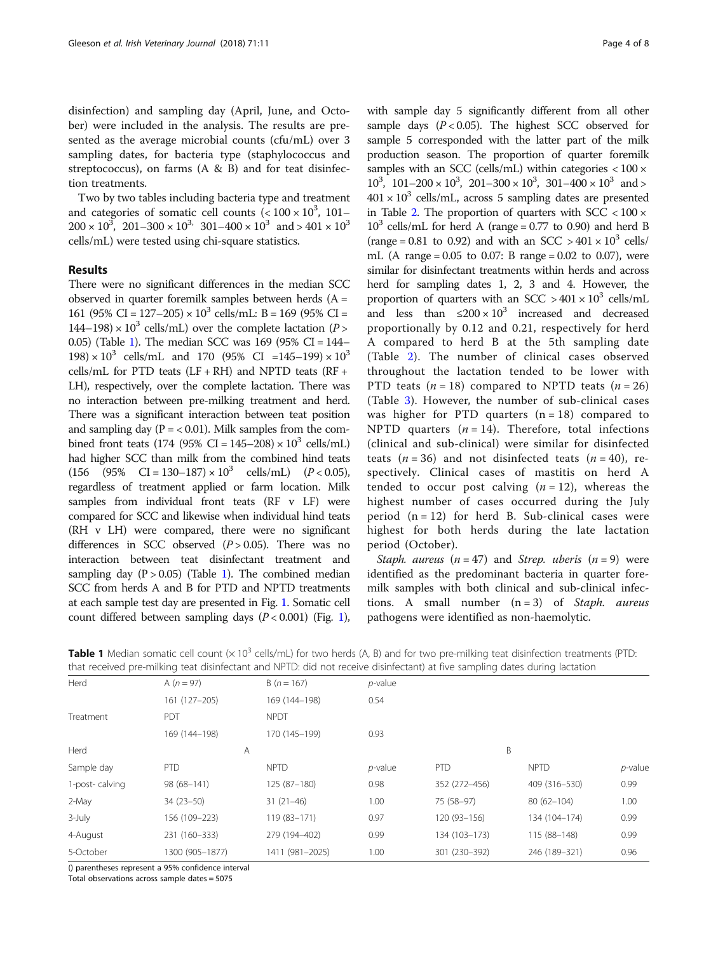disinfection) and sampling day (April, June, and October) were included in the analysis. The results are presented as the average microbial counts (cfu/mL) over 3 sampling dates, for bacteria type (staphylococcus and streptococcus), on farms (A & B) and for teat disinfection treatments.

Two by two tables including bacteria type and treatment and categories of somatic cell counts  $(< 100 \times 10^3, 101 200 \times 10^3$ ,  $201 - 300 \times 10^3$ ,  $301 - 400 \times 10^3$  and  $> 401 \times 10^3$ cells/mL) were tested using chi-square statistics.

## Results

There were no significant differences in the median SCC observed in quarter foremilk samples between herds  $(A =$ 161 (95% CI = 127–205)  $\times$  10<sup>3</sup> cells/mL: B = 169 (95% CI =  $144-198 \times 10^3$  cells/mL) over the complete lactation (P > 0.05) (Table 1). The median SCC was 169 (95% CI = 144–  $198 \times 10^3$  cells/mL and 170 (95% CI =145–199) × 10<sup>3</sup> cells/mL for PTD teats  $(LF + RH)$  and NPTD teats  $(RF +$ LH), respectively, over the complete lactation. There was no interaction between pre-milking treatment and herd. There was a significant interaction between teat position and sampling day  $(P = < 0.01)$ . Milk samples from the combined front teats (174 (95% CI = 145–208)  $\times 10^3$  cells/mL) had higher SCC than milk from the combined hind teats  $(156 \t (95\t \& CI = 130-187) \times 10^3 \t cells/mL) \t (P < 0.05),$ regardless of treatment applied or farm location. Milk samples from individual front teats (RF v LF) were compared for SCC and likewise when individual hind teats (RH v LH) were compared, there were no significant differences in SCC observed  $(P > 0.05)$ . There was no interaction between teat disinfectant treatment and sampling day  $(P > 0.05)$  (Table 1). The combined median SCC from herds A and B for PTD and NPTD treatments at each sample test day are presented in Fig. [1.](#page-4-0) Somatic cell count differed between sampling days  $(P < 0.001)$  $(P < 0.001)$  $(P < 0.001)$  (Fig. 1),

with sample day 5 significantly different from all other sample days  $(P < 0.05)$ . The highest SCC observed for sample 5 corresponded with the latter part of the milk production season. The proportion of quarter foremilk samples with an SCC (cells/mL) within categories  $< 100 \times$  $10^3$ ,  $101-200 \times 10^3$ ,  $201-300 \times 10^3$ ,  $301-400 \times 10^3$  and >  $401 \times 10^3$  cells/mL, across 5 sampling dates are presented in Table [2.](#page-4-0) The proportion of quarters with  $SCC < 100 \times$  $10^3$  cells/mL for herd A (range = 0.77 to 0.90) and herd B (range = 0.81 to 0.92) and with an SCC > 401  $\times$  10<sup>3</sup> cells/ mL (A range =  $0.05$  to 0.07: B range =  $0.02$  to 0.07), were similar for disinfectant treatments within herds and across herd for sampling dates 1, 2, 3 and 4. However, the proportion of quarters with an SCC  $> 401 \times 10^3$  cells/mL and less than  $\leq 200 \times 10^3$  increased and decreased proportionally by 0.12 and 0.21, respectively for herd A compared to herd B at the 5th sampling date (Table [2](#page-4-0)). The number of clinical cases observed throughout the lactation tended to be lower with PTD teats ( $n = 18$ ) compared to NPTD teats ( $n = 26$ ) (Table [3\)](#page-5-0). However, the number of sub-clinical cases was higher for PTD quarters  $(n = 18)$  compared to NPTD quarters  $(n = 14)$ . Therefore, total infections (clinical and sub-clinical) were similar for disinfected teats ( $n = 36$ ) and not disinfected teats ( $n = 40$ ), respectively. Clinical cases of mastitis on herd A tended to occur post calving  $(n = 12)$ , whereas the highest number of cases occurred during the July period  $(n = 12)$  for herd B. Sub-clinical cases were highest for both herds during the late lactation period (October).

Staph. aureus  $(n = 47)$  and Strep. uberis  $(n = 9)$  were identified as the predominant bacteria in quarter foremilk samples with both clinical and sub-clinical infections. A small number  $(n = 3)$  of Staph. aureus pathogens were identified as non-haemolytic.

|                | that received pre-milking teat disinfectant and NPTD: did not receive disinfectant) at five sampling dates during lactation |                 |            |               |                |            |
|----------------|-----------------------------------------------------------------------------------------------------------------------------|-----------------|------------|---------------|----------------|------------|
| Herd           | A $(n = 97)$                                                                                                                | $B(n = 167)$    | $p$ -value |               |                |            |
|                | 161 (127-205)                                                                                                               | 169 (144-198)   | 0.54       |               |                |            |
| Treatment      | PDT                                                                                                                         | <b>NPDT</b>     |            |               |                |            |
|                | 169 (144-198)                                                                                                               | 170 (145-199)   | 0.93       |               |                |            |
| Herd           | A                                                                                                                           |                 | B          |               |                |            |
| Sample day     | <b>PTD</b>                                                                                                                  | <b>NPTD</b>     | $p$ -value | <b>PTD</b>    | <b>NPTD</b>    | $p$ -value |
| 1-post-calving | 98 (68-141)                                                                                                                 | 125 (87-180)    | 0.98       | 352 (272-456) | 409 (316-530)  | 0.99       |
| 2-May          | $34(23-50)$                                                                                                                 | $31(21-46)$     | 1.00       | 75 (58-97)    | $80(62 - 104)$ | 1.00       |
| $3$ -July      | 156 (109-223)                                                                                                               | 119 (83-171)    | 0.97       | 120 (93-156)  | 134 (104-174)  | 0.99       |
| 4-August       | 231 (160-333)                                                                                                               | 279 (194-402)   | 0.99       | 134 (103-173) | 115 (88-148)   | 0.99       |
| 5-October      | 1300 (905-1877)                                                                                                             | 1411 (981-2025) | 1.00       | 301 (230-392) | 246 (189-321)  | 0.96       |
|                |                                                                                                                             |                 |            |               |                |            |

**Table 1** Median somatic cell count  $(x 10^3$  cells/mL) for two herds  $(A, B)$  and for two pre-milking teat disinfection treatments (PTD:<br>that received are milking teat disinfectant and NBTD: did not receive disinfectant) at that received pre-milking teat disinfectant and NPTD: did not receive disinfectant) at five sampling dates during lactation

() parentheses represent a 95% confidence interval

Total observations across sample dates = 5075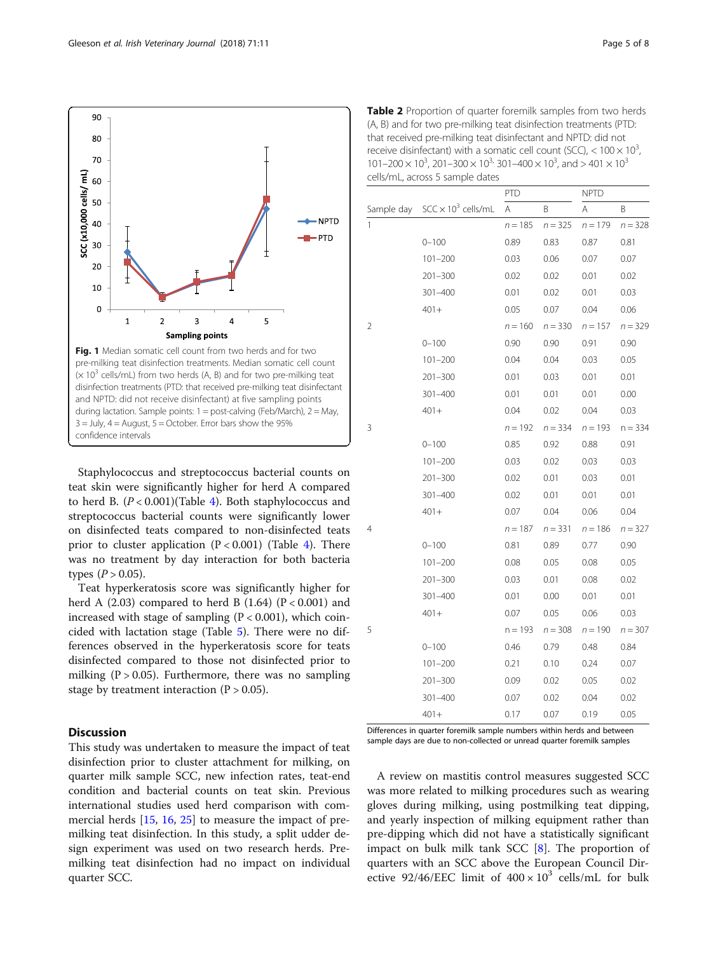<span id="page-4-0"></span>

Staphylococcus and streptococcus bacterial counts on teat skin were significantly higher for herd A compared to herd B.  $(P < 0.001)$  (Table [4\)](#page-5-0). Both staphylococcus and streptococcus bacterial counts were significantly lower on disinfected teats compared to non-disinfected teats prior to cluster application  $(P < 0.001)$  (Table [4\)](#page-5-0). There was no treatment by day interaction for both bacteria types  $(P > 0.05)$ .

Teat hyperkeratosis score was significantly higher for herd A  $(2.03)$  compared to herd B  $(1.64)$   $(P < 0.001)$  and increased with stage of sampling  $(P < 0.001)$ , which coincided with lactation stage (Table [5](#page-5-0)). There were no differences observed in the hyperkeratosis score for teats disinfected compared to those not disinfected prior to milking ( $P > 0.05$ ). Furthermore, there was no sampling stage by treatment interaction  $(P > 0.05)$ .

## **Discussion**

This study was undertaken to measure the impact of teat disinfection prior to cluster attachment for milking, on quarter milk sample SCC, new infection rates, teat-end condition and bacterial counts on teat skin. Previous international studies used herd comparison with commercial herds [\[15,](#page-6-0) [16](#page-6-0), [25](#page-7-0)] to measure the impact of premilking teat disinfection. In this study, a split udder design experiment was used on two research herds. Premilking teat disinfection had no impact on individual quarter SCC.

Table 2 Proportion of quarter foremilk samples from two herds (A, B) and for two pre-milking teat disinfection treatments (PTD: that received pre-milking teat disinfectant and NPTD: did not receive disinfectant) with a somatic cell count (SCC),  $<$  100  $\times$  10<sup>3</sup>, ,  $101-200 \times 10^3$ ,  $201-300 \times 10^{3}$ ,  $301-400 \times 10^3$ , and  $> 401 \times 10^3$ cells/mL, across 5 sample dates

|            |                            | <b>PTD</b> |           | <b>NPTD</b> |           |
|------------|----------------------------|------------|-----------|-------------|-----------|
| Sample day | $SCC \times 10^3$ cells/mL | A          | B         | A           | Β         |
| 1          |                            | $n = 185$  | $n = 325$ | $n = 179$   | $n = 328$ |
|            | $0 - 100$                  | 0.89       | 0.83      | 0.87        | 0.81      |
|            | $101 - 200$                | 0.03       | 0.06      | 0.07        | 0.07      |
|            | $201 - 300$                | 0.02       | 0.02      | 0.01        | 0.02      |
|            | 301-400                    | 0.01       | 0.02      | 0.01        | 0.03      |
|            | $401+$                     | 0.05       | 0.07      | 0.04        | 0.06      |
| 2          |                            | $n = 160$  | $n = 330$ | $n = 157$   | $n = 329$ |
|            | $0 - 100$                  | 0.90       | 0.90      | 0.91        | 0.90      |
|            | $101 - 200$                | 0.04       | 0.04      | 0.03        | 0.05      |
|            | $201 - 300$                | 0.01       | 0.03      | 0.01        | 0.01      |
|            | 301-400                    | 0.01       | 0.01      | 0.01        | 0.00      |
|            | $401 +$                    | 0.04       | 0.02      | 0.04        | 0.03      |
| 3          |                            | $n = 192$  | $n = 334$ | $n = 193$   | $n = 334$ |
|            | $0 - 100$                  | 0.85       | 0.92      | 0.88        | 0.91      |
|            | $101 - 200$                | 0.03       | 0.02      | 0.03        | 0.03      |
|            | $201 - 300$                | 0.02       | 0.01      | 0.03        | 0.01      |
|            | 301-400                    | 0.02       | 0.01      | 0.01        | 0.01      |
|            | $401 +$                    | 0.07       | 0.04      | 0.06        | 0.04      |
| 4          |                            | $n = 187$  | $n = 331$ | $n = 186$   | $n = 327$ |
|            | $0 - 100$                  | 0.81       | 0.89      | 0.77        | 0.90      |
|            | $101 - 200$                | 0.08       | 0.05      | 0.08        | 0.05      |
|            | $201 - 300$                | 0.03       | 0.01      | 0.08        | 0.02      |
|            | 301-400                    | 0.01       | 0.00      | 0.01        | 0.01      |
|            | $401 +$                    | 0.07       | 0.05      | 0.06        | 0.03      |
| 5          |                            | $n = 193$  | $n = 308$ | $n = 190$   | $n = 307$ |
|            | $0 - 100$                  | 0.46       | 0.79      | 0.48        | 0.84      |
|            | $101 - 200$                | 0.21       | 0.10      | 0.24        | 0.07      |
|            | $201 - 300$                | 0.09       | 0.02      | 0.05        | 0.02      |
|            | 301-400                    | 0.07       | 0.02      | 0.04        | 0.02      |
|            | $401 +$                    | 0.17       | 0.07      | 0.19        | 0.05      |

Differences in quarter foremilk sample numbers within herds and between sample days are due to non-collected or unread quarter foremilk samples

A review on mastitis control measures suggested SCC was more related to milking procedures such as wearing gloves during milking, using postmilking teat dipping, and yearly inspection of milking equipment rather than pre-dipping which did not have a statistically significant impact on bulk milk tank SCC [\[8](#page-6-0)]. The proportion of quarters with an SCC above the European Council Directive 92/46/EEC limit of  $400 \times 10^3$  cells/mL for bulk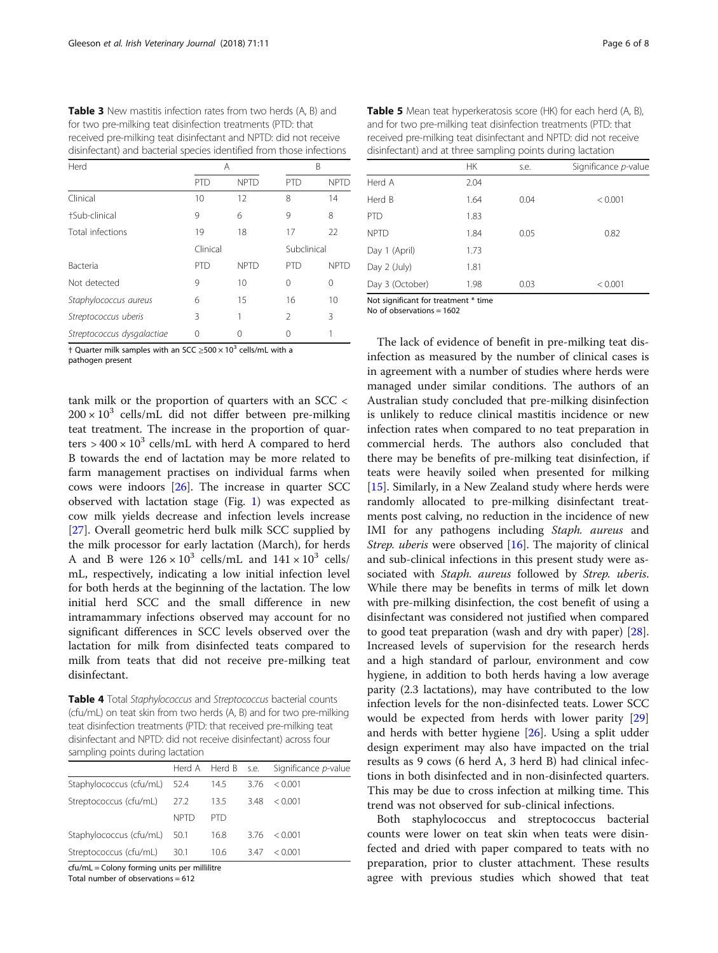<span id="page-5-0"></span>Table 3 New mastitis infection rates from two herds (A, B) and for two pre-milking teat disinfection treatments (PTD: that received pre-milking teat disinfectant and NPTD: did not receive disinfectant) and bacterial species identified from those infections

| Herd                       |            | Α           |                | B           |  |
|----------------------------|------------|-------------|----------------|-------------|--|
|                            | <b>PTD</b> | <b>NPTD</b> | <b>PTD</b>     | <b>NPTD</b> |  |
| Clinical                   | 10         | 12          | 8              | 14          |  |
| +Sub-clinical              | 9          | 6           | 9              | 8           |  |
| Total infections           | 19         | 18          | 17             | 22          |  |
|                            | Clinical   |             | Subclinical    |             |  |
| <b>Bacteria</b>            | <b>PTD</b> | <b>NPTD</b> | <b>PTD</b>     | <b>NPTD</b> |  |
| Not detected               | 9          | 10          | 0              | $\Omega$    |  |
| Staphylococcus aureus      | 6          | 15          | 16             | 10          |  |
| Streptococcus uberis       | 3          | 1           | $\mathfrak{D}$ | 3           |  |
| Streptococcus dysgalactiae | 0          |             | Ω              |             |  |

† Quarter milk samples with an SCC ≥500  $\times$  10<sup>3</sup> cells/mL with a

pathogen present

tank milk or the proportion of quarters with an SCC <  $200 \times 10^3$  cells/mL did not differ between pre-milking teat treatment. The increase in the proportion of quarters  $> 400 \times 10^3$  cells/mL with herd A compared to herd B towards the end of lactation may be more related to farm management practises on individual farms when cows were indoors [\[26\]](#page-7-0). The increase in quarter SCC observed with lactation stage (Fig. [1](#page-4-0)) was expected as cow milk yields decrease and infection levels increase [[27\]](#page-7-0). Overall geometric herd bulk milk SCC supplied by the milk processor for early lactation (March), for herds A and B were  $126 \times 10^3$  cells/mL and  $141 \times 10^3$  cells/ mL, respectively, indicating a low initial infection level for both herds at the beginning of the lactation. The low initial herd SCC and the small difference in new intramammary infections observed may account for no significant differences in SCC levels observed over the lactation for milk from disinfected teats compared to milk from teats that did not receive pre-milking teat disinfectant.

Table 4 Total Staphylococcus and Streptococcus bacterial counts (cfu/mL) on teat skin from two herds (A, B) and for two pre-milking teat disinfection treatments (PTD: that received pre-milking teat disinfectant and NPTD: did not receive disinfectant) across four sampling points during lactation

|                              |             |      |      | Herd A Herd B s.e. Significance p-value |
|------------------------------|-------------|------|------|-----------------------------------------|
| Staphylococcus (cfu/mL) 52.4 |             | 14.5 | 3.76 | < 0.001                                 |
| Streptococcus (cfu/mL)       | 27.2        | 13.5 | 3.48 | < 0.001                                 |
|                              | <b>NPTD</b> | PTD. |      |                                         |
| Staphylococcus (cfu/mL) 50.1 |             | 16.8 | 3.76 | < 0.001                                 |
| Streptococcus (cfu/mL)       | 30.1        | 10.6 | 3.47 | < 0.001                                 |

cfu/mL = Colony forming units per millilitre

Total number of observations  $= 612$ 

| Table 5 Mean teat hyperkeratosis score (HK) for each herd (A, B), |
|-------------------------------------------------------------------|
| and for two pre-milking teat disinfection treatments (PTD: that   |
| received pre-milking teat disinfectant and NPTD: did not receive  |
| disinfectant) and at three sampling points during lactation       |

|                 | <b>HK</b> | s.e. | Significance p-value |
|-----------------|-----------|------|----------------------|
| Herd A          | 2.04      |      |                      |
| Herd B          | 1.64      | 0.04 | < 0.001              |
| PTD             | 1.83      |      |                      |
| <b>NPTD</b>     | 1.84      | 0.05 | 0.82                 |
| Day 1 (April)   | 1.73      |      |                      |
| Day 2 (July)    | 1.81      |      |                      |
| Day 3 (October) | 1.98      | 0.03 | < 0.001              |
|                 |           |      |                      |

Not significant for treatment \* time

No of observations = 1602

The lack of evidence of benefit in pre-milking teat disinfection as measured by the number of clinical cases is in agreement with a number of studies where herds were managed under similar conditions. The authors of an Australian study concluded that pre-milking disinfection is unlikely to reduce clinical mastitis incidence or new infection rates when compared to no teat preparation in commercial herds. The authors also concluded that there may be benefits of pre-milking teat disinfection, if teats were heavily soiled when presented for milking [[15\]](#page-6-0). Similarly, in a New Zealand study where herds were randomly allocated to pre-milking disinfectant treatments post calving, no reduction in the incidence of new IMI for any pathogens including Staph. aureus and Strep. uberis were observed [[16\]](#page-6-0). The majority of clinical and sub-clinical infections in this present study were associated with Staph. aureus followed by Strep. uberis. While there may be benefits in terms of milk let down with pre-milking disinfection, the cost benefit of using a disinfectant was considered not justified when compared to good teat preparation (wash and dry with paper) [\[28](#page-7-0)]. Increased levels of supervision for the research herds and a high standard of parlour, environment and cow hygiene, in addition to both herds having a low average parity (2.3 lactations), may have contributed to the low infection levels for the non-disinfected teats. Lower SCC would be expected from herds with lower parity [[29](#page-7-0)] and herds with better hygiene [\[26](#page-7-0)]. Using a split udder design experiment may also have impacted on the trial results as 9 cows (6 herd A, 3 herd B) had clinical infections in both disinfected and in non-disinfected quarters. This may be due to cross infection at milking time. This trend was not observed for sub-clinical infections.

Both staphylococcus and streptococcus bacterial counts were lower on teat skin when teats were disinfected and dried with paper compared to teats with no preparation, prior to cluster attachment. These results agree with previous studies which showed that teat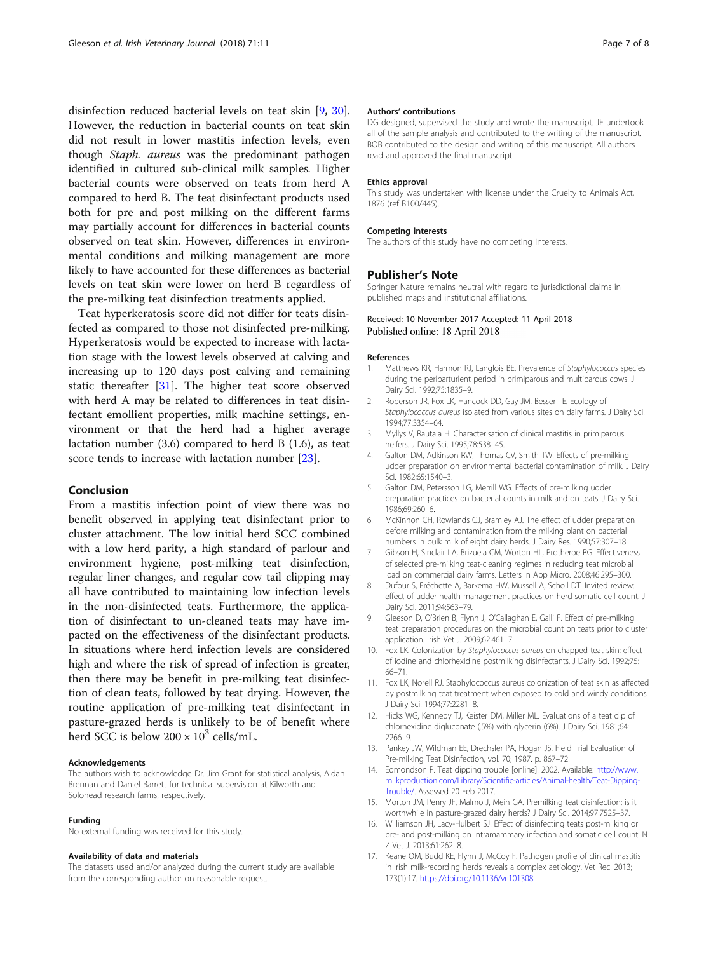<span id="page-6-0"></span>disinfection reduced bacterial levels on teat skin [9, [30](#page-7-0)]. However, the reduction in bacterial counts on teat skin did not result in lower mastitis infection levels, even though Staph. aureus was the predominant pathogen identified in cultured sub-clinical milk samples. Higher bacterial counts were observed on teats from herd A compared to herd B. The teat disinfectant products used both for pre and post milking on the different farms may partially account for differences in bacterial counts observed on teat skin. However, differences in environmental conditions and milking management are more likely to have accounted for these differences as bacterial levels on teat skin were lower on herd B regardless of the pre-milking teat disinfection treatments applied.

Teat hyperkeratosis score did not differ for teats disinfected as compared to those not disinfected pre-milking. Hyperkeratosis would be expected to increase with lactation stage with the lowest levels observed at calving and increasing up to 120 days post calving and remaining static thereafter [\[31\]](#page-7-0). The higher teat score observed with herd A may be related to differences in teat disinfectant emollient properties, milk machine settings, environment or that the herd had a higher average lactation number (3.6) compared to herd B (1.6), as teat score tends to increase with lactation number [\[23](#page-7-0)].

#### Conclusion

From a mastitis infection point of view there was no benefit observed in applying teat disinfectant prior to cluster attachment. The low initial herd SCC combined with a low herd parity, a high standard of parlour and environment hygiene, post-milking teat disinfection, regular liner changes, and regular cow tail clipping may all have contributed to maintaining low infection levels in the non-disinfected teats. Furthermore, the application of disinfectant to un-cleaned teats may have impacted on the effectiveness of the disinfectant products. In situations where herd infection levels are considered high and where the risk of spread of infection is greater, then there may be benefit in pre-milking teat disinfection of clean teats, followed by teat drying. However, the routine application of pre-milking teat disinfectant in pasture-grazed herds is unlikely to be of benefit where herd SCC is below  $200 \times 10^3$  cells/mL.

#### Acknowledgements

The authors wish to acknowledge Dr. Jim Grant for statistical analysis, Aidan Brennan and Daniel Barrett for technical supervision at Kilworth and Solohead research farms, respectively.

#### Funding

No external funding was received for this study.

#### Availability of data and materials

The datasets used and/or analyzed during the current study are available from the corresponding author on reasonable request.

#### Authors' contributions

DG designed, supervised the study and wrote the manuscript. JF undertook all of the sample analysis and contributed to the writing of the manuscript. BOB contributed to the design and writing of this manuscript. All authors read and approved the final manuscript.

#### Ethics approval

This study was undertaken with license under the Cruelty to Animals Act, 1876 (ref B100/445).

#### Competing interests

The authors of this study have no competing interests.

#### Publisher's Note

Springer Nature remains neutral with regard to jurisdictional claims in published maps and institutional affiliations.

#### Received: 10 November 2017 Accepted: 11 April 2018 Published online: 18 April 2018

#### References

- 1. Matthews KR, Harmon RJ, Langlois BE. Prevalence of Staphylococcus species during the periparturient period in primiparous and multiparous cows. J Dairy Sci. 1992;75:1835–9.
- 2. Roberson JR, Fox LK, Hancock DD, Gay JM, Besser TE. Ecology of Staphylococcus aureus isolated from various sites on dairy farms. J Dairy Sci. 1994;77:3354–64.
- 3. Myllys V, Rautala H. Characterisation of clinical mastitis in primiparous heifers. J Dairy Sci. 1995;78:538–45.
- 4. Galton DM, Adkinson RW, Thomas CV, Smith TW. Effects of pre-milking udder preparation on environmental bacterial contamination of milk. J Dairy Sci. 1982;65:1540–3.
- 5. Galton DM, Petersson LG, Merrill WG. Effects of pre-milking udder preparation practices on bacterial counts in milk and on teats. J Dairy Sci. 1986;69:260–6.
- 6. McKinnon CH, Rowlands GJ, Bramley AJ. The effect of udder preparation before milking and contamination from the milking plant on bacterial numbers in bulk milk of eight dairy herds. J Dairy Res. 1990;57:307–18.
- 7. Gibson H, Sinclair LA, Brizuela CM, Worton HL, Protheroe RG. Effectiveness of selected pre-milking teat-cleaning regimes in reducing teat microbial load on commercial dairy farms. Letters in App Micro. 2008;46:295–300.
- 8. Dufour S, Fréchette A, Barkema HW, Mussell A, Scholl DT. Invited review: effect of udder health management practices on herd somatic cell count. J Dairy Sci. 2011;94:563–79.
- 9. Gleeson D, O'Brien B, Flynn J, O'Callaghan E, Galli F. Effect of pre-milking teat preparation procedures on the microbial count on teats prior to cluster application. Irish Vet J. 2009;62:461–7.
- 10. Fox LK. Colonization by Staphylococcus aureus on chapped teat skin: effect of iodine and chlorhexidine postmilking disinfectants. J Dairy Sci. 1992;75: 66–71.
- 11. Fox LK, Norell RJ. Staphylococcus aureus colonization of teat skin as affected by postmilking teat treatment when exposed to cold and windy conditions. J Dairy Sci. 1994;77:2281–8.
- 12. Hicks WG, Kennedy TJ, Keister DM, Miller ML. Evaluations of a teat dip of chlorhexidine digluconate (.5%) with glycerin (6%). J Dairy Sci. 1981;64: 2266–9.
- 13. Pankey JW, Wildman EE, Drechsler PA, Hogan JS. Field Trial Evaluation of Pre-milking Teat Disinfection, vol. 70; 1987. p. 867–72.
- 14. Edmondson P. Teat dipping trouble [online]. 2002. Available: [http://www.](http://www.milkproduction.com/Library/Scientific-articles/Animal-health/Teat-Dipping-Trouble/) [milkproduction.com/Library/Scientific-articles/Animal-health/Teat-Dipping-](http://www.milkproduction.com/Library/Scientific-articles/Animal-health/Teat-Dipping-Trouble/)[Trouble/.](http://www.milkproduction.com/Library/Scientific-articles/Animal-health/Teat-Dipping-Trouble/) Assessed 20 Feb 2017.
- 15. Morton JM, Penry JF, Malmo J, Mein GA. Premilking teat disinfection: is it worthwhile in pasture-grazed dairy herds? J Dairy Sci. 2014;97:7525–37.
- 16. Williamson JH, Lacy-Hulbert SJ. Effect of disinfecting teats post-milking or pre- and post-milking on intramammary infection and somatic cell count. N Z Vet J. 2013;61:262–8.
- 17. Keane OM, Budd KE, Flynn J, McCoy F. Pathogen profile of clinical mastitis in Irish milk-recording herds reveals a complex aetiology. Vet Rec. 2013; 173(1):17. [https://doi.org/10.1136/vr.101308.](https://doi.org/10.1136/vr.101308)